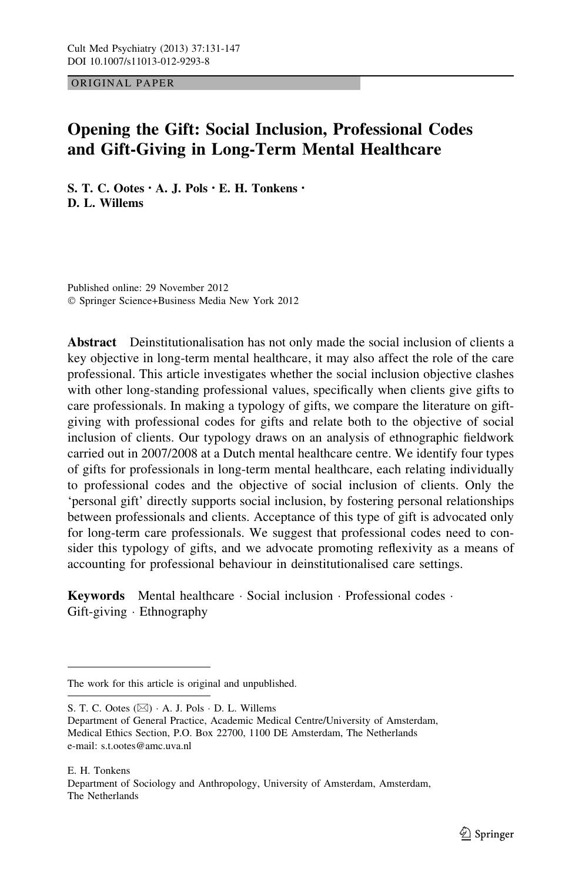ORIGINAL PAPER

# Opening the Gift: Social Inclusion, Professional Codes and Gift-Giving in Long-Term Mental Healthcare

S. T. C. Ootes • A. J. Pols • E. H. Tonkens • D. L. Willems

Published online: 29 November 2012 - Springer Science+Business Media New York 2012

Abstract Deinstitutionalisation has not only made the social inclusion of clients a key objective in long-term mental healthcare, it may also affect the role of the care professional. This article investigates whether the social inclusion objective clashes with other long-standing professional values, specifically when clients give gifts to care professionals. In making a typology of gifts, we compare the literature on giftgiving with professional codes for gifts and relate both to the objective of social inclusion of clients. Our typology draws on an analysis of ethnographic fieldwork carried out in 2007/2008 at a Dutch mental healthcare centre. We identify four types of gifts for professionals in long-term mental healthcare, each relating individually to professional codes and the objective of social inclusion of clients. Only the 'personal gift' directly supports social inclusion, by fostering personal relationships between professionals and clients. Acceptance of this type of gift is advocated only for long-term care professionals. We suggest that professional codes need to consider this typology of gifts, and we advocate promoting reflexivity as a means of accounting for professional behaviour in deinstitutionalised care settings.

Keywords Mental healthcare · Social inclusion · Professional codes · Gift-giving - Ethnography

E. H. Tonkens Department of Sociology and Anthropology, University of Amsterdam, Amsterdam, The Netherlands

The work for this article is original and unpublished.

S. T. C. Ootes  $(\boxtimes) \cdot A$ . J. Pols  $\cdot D$ . L. Willems

Department of General Practice, Academic Medical Centre/University of Amsterdam, Medical Ethics Section, P.O. Box 22700, 1100 DE Amsterdam, The Netherlands e-mail: s.t.ootes@amc.uva.nl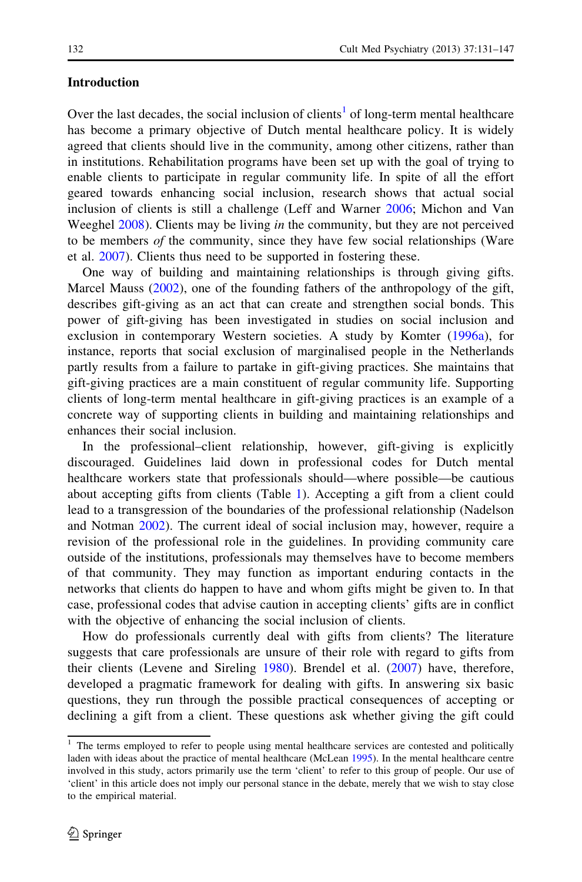## Introduction

Over the last decades, the social inclusion of clients<sup>1</sup> of long-term mental healthcare has become a primary objective of Dutch mental healthcare policy. It is widely agreed that clients should live in the community, among other citizens, rather than in institutions. Rehabilitation programs have been set up with the goal of trying to enable clients to participate in regular community life. In spite of all the effort geared towards enhancing social inclusion, research shows that actual social inclusion of clients is still a challenge (Leff and Warner [2006;](#page-14-0) Michon and Van Weeghel [2008](#page-14-0)). Clients may be living *in* the community, but they are not perceived to be members of the community, since they have few social relationships (Ware et al. [2007\)](#page-15-0). Clients thus need to be supported in fostering these.

One way of building and maintaining relationships is through giving gifts. Marcel Mauss ([2002\)](#page-14-0), one of the founding fathers of the anthropology of the gift, describes gift-giving as an act that can create and strengthen social bonds. This power of gift-giving has been investigated in studies on social inclusion and exclusion in contemporary Western societies. A study by Komter [\(1996a\)](#page-14-0), for instance, reports that social exclusion of marginalised people in the Netherlands partly results from a failure to partake in gift-giving practices. She maintains that gift-giving practices are a main constituent of regular community life. Supporting clients of long-term mental healthcare in gift-giving practices is an example of a concrete way of supporting clients in building and maintaining relationships and enhances their social inclusion.

In the professional–client relationship, however, gift-giving is explicitly discouraged. Guidelines laid down in professional codes for Dutch mental healthcare workers state that professionals should—where possible—be cautious about accepting gifts from clients (Table [1](#page-2-0)). Accepting a gift from a client could lead to a transgression of the boundaries of the professional relationship (Nadelson and Notman [2002\)](#page-15-0). The current ideal of social inclusion may, however, require a revision of the professional role in the guidelines. In providing community care outside of the institutions, professionals may themselves have to become members of that community. They may function as important enduring contacts in the networks that clients do happen to have and whom gifts might be given to. In that case, professional codes that advise caution in accepting clients' gifts are in conflict with the objective of enhancing the social inclusion of clients.

How do professionals currently deal with gifts from clients? The literature suggests that care professionals are unsure of their role with regard to gifts from their clients (Levene and Sireling [1980](#page-14-0)). Brendel et al. [\(2007](#page-14-0)) have, therefore, developed a pragmatic framework for dealing with gifts. In answering six basic questions, they run through the possible practical consequences of accepting or declining a gift from a client. These questions ask whether giving the gift could

<sup>&</sup>lt;sup>1</sup> The terms employed to refer to people using mental healthcare services are contested and politically laden with ideas about the practice of mental healthcare (McLean [1995](#page-14-0)). In the mental healthcare centre involved in this study, actors primarily use the term 'client' to refer to this group of people. Our use of 'client' in this article does not imply our personal stance in the debate, merely that we wish to stay close to the empirical material.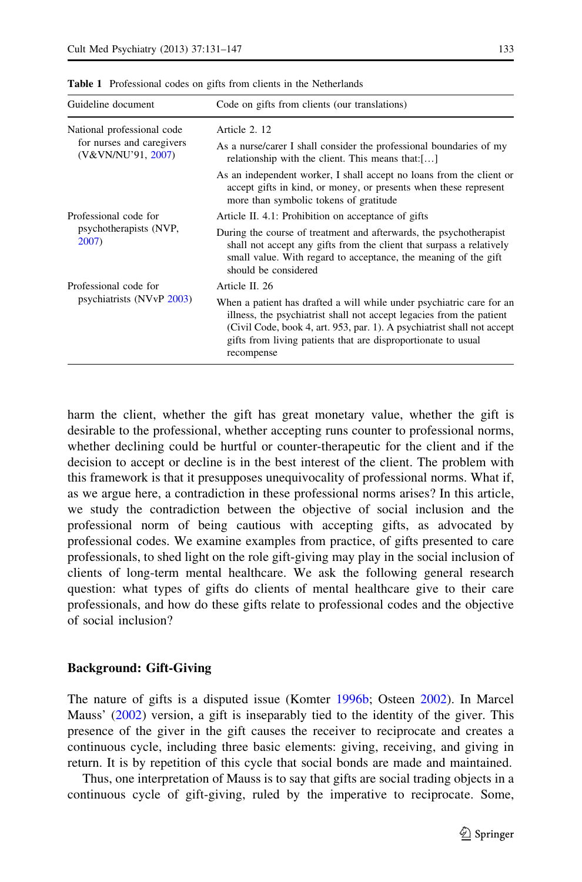| Guideline document                                                            | Code on gifts from clients (our translations)                                                                                                                                                                                                                                                           |
|-------------------------------------------------------------------------------|---------------------------------------------------------------------------------------------------------------------------------------------------------------------------------------------------------------------------------------------------------------------------------------------------------|
| National professional code<br>for nurses and caregivers<br>(V&VN/NU'91, 2007) | Article 2.12<br>As a nurse/carer I shall consider the professional boundaries of my<br>relationship with the client. This means that:[]                                                                                                                                                                 |
|                                                                               | As an independent worker, I shall accept no loans from the client or<br>accept gifts in kind, or money, or presents when these represent<br>more than symbolic tokens of gratitude                                                                                                                      |
| Professional code for<br>psychotherapists (NVP,<br>2007)                      | Article II. 4.1: Prohibition on acceptance of gifts                                                                                                                                                                                                                                                     |
|                                                                               | During the course of treatment and afterwards, the psychotherapist<br>shall not accept any gifts from the client that surpass a relatively<br>small value. With regard to acceptance, the meaning of the gift<br>should be considered                                                                   |
| Professional code for<br>psychiatrists (NVvP 2003)                            | Article II. 26                                                                                                                                                                                                                                                                                          |
|                                                                               | When a patient has drafted a will while under psychiatric care for an<br>illness, the psychiatrist shall not accept legacies from the patient<br>(Civil Code, book 4, art. 953, par. 1). A psychiatrist shall not accept<br>gifts from living patients that are disproportionate to usual<br>recompense |

<span id="page-2-0"></span>Table 1 Professional codes on gifts from clients in the Netherlands

harm the client, whether the gift has great monetary value, whether the gift is desirable to the professional, whether accepting runs counter to professional norms, whether declining could be hurtful or counter-therapeutic for the client and if the decision to accept or decline is in the best interest of the client. The problem with this framework is that it presupposes unequivocality of professional norms. What if, as we argue here, a contradiction in these professional norms arises? In this article, we study the contradiction between the objective of social inclusion and the professional norm of being cautious with accepting gifts, as advocated by professional codes. We examine examples from practice, of gifts presented to care professionals, to shed light on the role gift-giving may play in the social inclusion of clients of long-term mental healthcare. We ask the following general research question: what types of gifts do clients of mental healthcare give to their care professionals, and how do these gifts relate to professional codes and the objective of social inclusion?

#### Background: Gift-Giving

The nature of gifts is a disputed issue (Komter [1996b;](#page-14-0) Osteen [2002\)](#page-15-0). In Marcel Mauss' [\(2002](#page-14-0)) version, a gift is inseparably tied to the identity of the giver. This presence of the giver in the gift causes the receiver to reciprocate and creates a continuous cycle, including three basic elements: giving, receiving, and giving in return. It is by repetition of this cycle that social bonds are made and maintained.

Thus, one interpretation of Mauss is to say that gifts are social trading objects in a continuous cycle of gift-giving, ruled by the imperative to reciprocate. Some,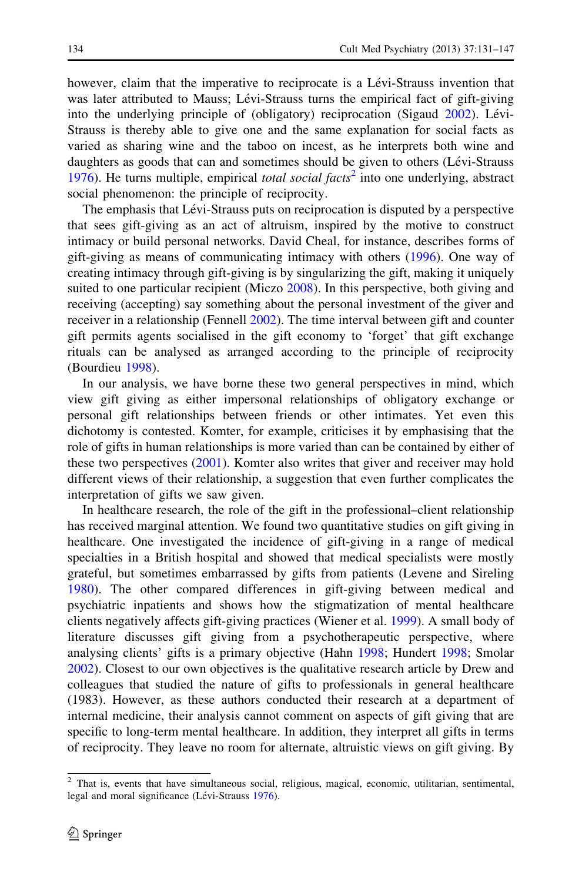however, claim that the imperative to reciprocate is a Lévi-Strauss invention that was later attributed to Mauss; Lévi-Strauss turns the empirical fact of gift-giving into the underlying principle of (obligatory) reciprocation (Sigaud [2002](#page-15-0)). Lévi-Strauss is thereby able to give one and the same explanation for social facts as varied as sharing wine and the taboo on incest, as he interprets both wine and daughters as goods that can and sometimes should be given to others (Lévi-Strauss) [1976\)](#page-14-0). He turns multiple, empirical *total social facts*<sup>2</sup> into one underlying, abstract social phenomenon: the principle of reciprocity.

The emphasis that Lévi-Strauss puts on reciprocation is disputed by a perspective that sees gift-giving as an act of altruism, inspired by the motive to construct intimacy or build personal networks. David Cheal, for instance, describes forms of gift-giving as means of communicating intimacy with others ([1996](#page-14-0)). One way of creating intimacy through gift-giving is by singularizing the gift, making it uniquely suited to one particular recipient (Miczo [2008\)](#page-15-0). In this perspective, both giving and receiving (accepting) say something about the personal investment of the giver and receiver in a relationship (Fennell [2002\)](#page-14-0). The time interval between gift and counter gift permits agents socialised in the gift economy to 'forget' that gift exchange rituals can be analysed as arranged according to the principle of reciprocity (Bourdieu [1998\)](#page-14-0).

In our analysis, we have borne these two general perspectives in mind, which view gift giving as either impersonal relationships of obligatory exchange or personal gift relationships between friends or other intimates. Yet even this dichotomy is contested. Komter, for example, criticises it by emphasising that the role of gifts in human relationships is more varied than can be contained by either of these two perspectives [\(2001\)](#page-14-0). Komter also writes that giver and receiver may hold different views of their relationship, a suggestion that even further complicates the interpretation of gifts we saw given.

In healthcare research, the role of the gift in the professional–client relationship has received marginal attention. We found two quantitative studies on gift giving in healthcare. One investigated the incidence of gift-giving in a range of medical specialties in a British hospital and showed that medical specialists were mostly grateful, but sometimes embarrassed by gifts from patients (Levene and Sireling [1980\)](#page-14-0). The other compared differences in gift-giving between medical and psychiatric inpatients and shows how the stigmatization of mental healthcare clients negatively affects gift-giving practices (Wiener et al. [1999\)](#page-16-0). A small body of literature discusses gift giving from a psychotherapeutic perspective, where analysing clients' gifts is a primary objective (Hahn [1998](#page-14-0); Hundert [1998](#page-14-0); Smolar [2002\)](#page-15-0). Closest to our own objectives is the qualitative research article by Drew and colleagues that studied the nature of gifts to professionals in general healthcare (1983). However, as these authors conducted their research at a department of internal medicine, their analysis cannot comment on aspects of gift giving that are specific to long-term mental healthcare. In addition, they interpret all gifts in terms of reciprocity. They leave no room for alternate, altruistic views on gift giving. By

<sup>&</sup>lt;sup>2</sup> That is, events that have simultaneous social, religious, magical, economic, utilitarian, sentimental, legal and moral significance (Lévi-Strauss [1976\)](#page-14-0).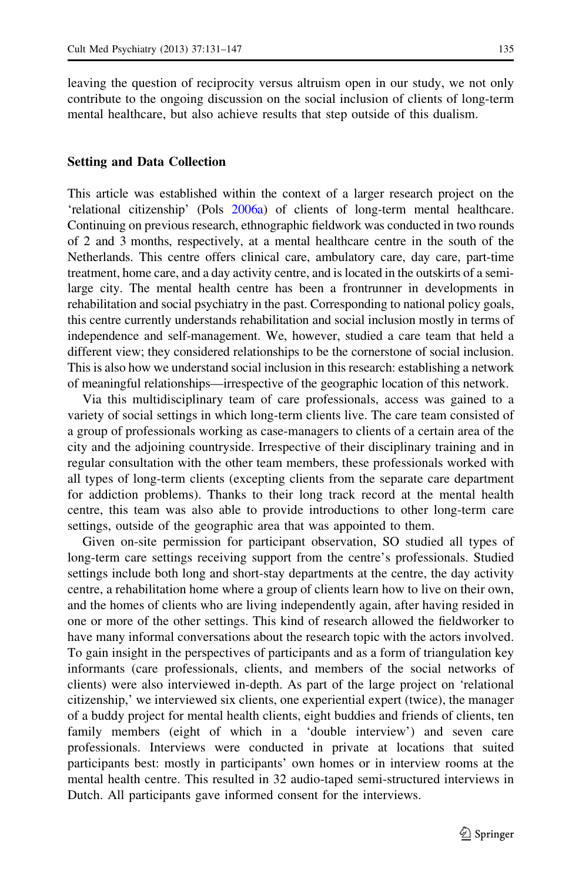leaving the question of reciprocity versus altruism open in our study, we not only contribute to the ongoing discussion on the social inclusion of clients of long-term mental healthcare, but also achieve results that step outside of this dualism.

#### Setting and Data Collection

This article was established within the context of a larger research project on the 'relational citizenship' (Pols [2006a\)](#page-15-0) of clients of long-term mental healthcare. Continuing on previous research, ethnographic fieldwork was conducted in two rounds of 2 and 3 months, respectively, at a mental healthcare centre in the south of the Netherlands. This centre offers clinical care, ambulatory care, day care, part-time treatment, home care, and a day activity centre, and is located in the outskirts of a semilarge city. The mental health centre has been a frontrunner in developments in rehabilitation and social psychiatry in the past. Corresponding to national policy goals, this centre currently understands rehabilitation and social inclusion mostly in terms of independence and self-management. We, however, studied a care team that held a different view; they considered relationships to be the cornerstone of social inclusion. This is also how we understand social inclusion in this research: establishing a network of meaningful relationships—irrespective of the geographic location of this network.

Via this multidisciplinary team of care professionals, access was gained to a variety of social settings in which long-term clients live. The care team consisted of a group of professionals working as case-managers to clients of a certain area of the city and the adjoining countryside. Irrespective of their disciplinary training and in regular consultation with the other team members, these professionals worked with all types of long-term clients (excepting clients from the separate care department for addiction problems). Thanks to their long track record at the mental health centre, this team was also able to provide introductions to other long-term care settings, outside of the geographic area that was appointed to them.

Given on-site permission for participant observation, SO studied all types of long-term care settings receiving support from the centre's professionals. Studied settings include both long and short-stay departments at the centre, the day activity centre, a rehabilitation home where a group of clients learn how to live on their own, and the homes of clients who are living independently again, after having resided in one or more of the other settings. This kind of research allowed the fieldworker to have many informal conversations about the research topic with the actors involved. To gain insight in the perspectives of participants and as a form of triangulation key informants (care professionals, clients, and members of the social networks of clients) were also interviewed in-depth. As part of the large project on 'relational citizenship,' we interviewed six clients, one experiential expert (twice), the manager of a buddy project for mental health clients, eight buddies and friends of clients, ten family members (eight of which in a 'double interview') and seven care professionals. Interviews were conducted in private at locations that suited participants best: mostly in participants' own homes or in interview rooms at the mental health centre. This resulted in 32 audio-taped semi-structured interviews in Dutch. All participants gave informed consent for the interviews.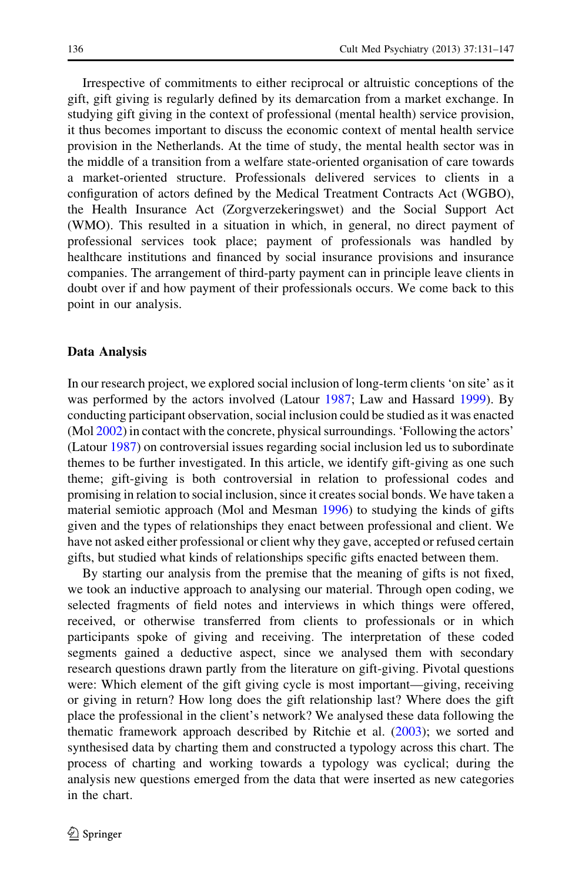Irrespective of commitments to either reciprocal or altruistic conceptions of the gift, gift giving is regularly defined by its demarcation from a market exchange. In studying gift giving in the context of professional (mental health) service provision, it thus becomes important to discuss the economic context of mental health service provision in the Netherlands. At the time of study, the mental health sector was in the middle of a transition from a welfare state-oriented organisation of care towards a market-oriented structure. Professionals delivered services to clients in a configuration of actors defined by the Medical Treatment Contracts Act (WGBO), the Health Insurance Act (Zorgverzekeringswet) and the Social Support Act (WMO). This resulted in a situation in which, in general, no direct payment of professional services took place; payment of professionals was handled by healthcare institutions and financed by social insurance provisions and insurance companies. The arrangement of third-party payment can in principle leave clients in doubt over if and how payment of their professionals occurs. We come back to this point in our analysis.

#### Data Analysis

In our research project, we explored social inclusion of long-term clients 'on site' as it was performed by the actors involved (Latour [1987](#page-14-0); Law and Hassard [1999](#page-14-0)). By conducting participant observation, social inclusion could be studied as it was enacted (Mol [2002\)](#page-15-0) in contact with the concrete, physical surroundings. 'Following the actors' (Latour [1987](#page-14-0)) on controversial issues regarding social inclusion led us to subordinate themes to be further investigated. In this article, we identify gift-giving as one such theme; gift-giving is both controversial in relation to professional codes and promising in relation to social inclusion, since it creates social bonds. We have taken a material semiotic approach (Mol and Mesman [1996](#page-15-0)) to studying the kinds of gifts given and the types of relationships they enact between professional and client. We have not asked either professional or client why they gave, accepted or refused certain gifts, but studied what kinds of relationships specific gifts enacted between them.

By starting our analysis from the premise that the meaning of gifts is not fixed, we took an inductive approach to analysing our material. Through open coding, we selected fragments of field notes and interviews in which things were offered, received, or otherwise transferred from clients to professionals or in which participants spoke of giving and receiving. The interpretation of these coded segments gained a deductive aspect, since we analysed them with secondary research questions drawn partly from the literature on gift-giving. Pivotal questions were: Which element of the gift giving cycle is most important—giving, receiving or giving in return? How long does the gift relationship last? Where does the gift place the professional in the client's network? We analysed these data following the thematic framework approach described by Ritchie et al. ([2003\)](#page-15-0); we sorted and synthesised data by charting them and constructed a typology across this chart. The process of charting and working towards a typology was cyclical; during the analysis new questions emerged from the data that were inserted as new categories in the chart.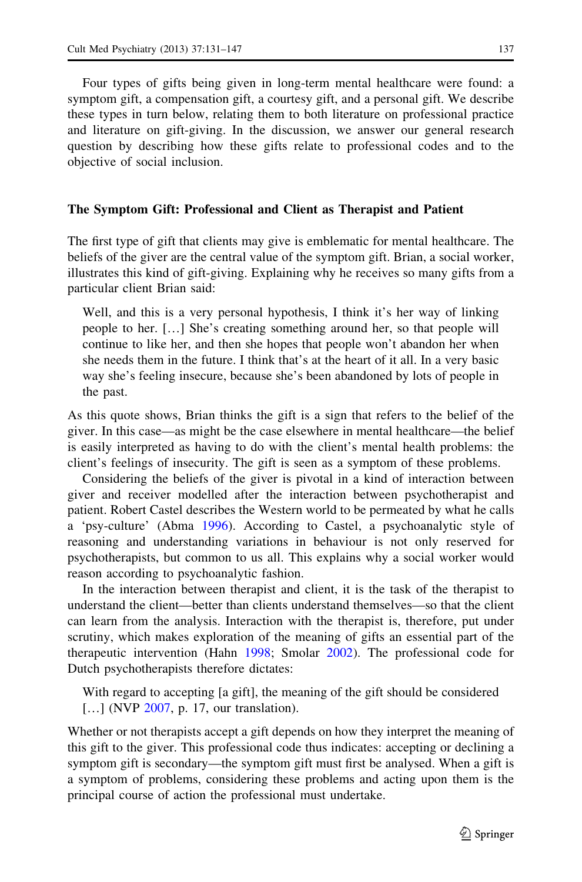Four types of gifts being given in long-term mental healthcare were found: a symptom gift, a compensation gift, a courtesy gift, and a personal gift. We describe these types in turn below, relating them to both literature on professional practice and literature on gift-giving. In the discussion, we answer our general research question by describing how these gifts relate to professional codes and to the objective of social inclusion.

# The Symptom Gift: Professional and Client as Therapist and Patient

The first type of gift that clients may give is emblematic for mental healthcare. The beliefs of the giver are the central value of the symptom gift. Brian, a social worker, illustrates this kind of gift-giving. Explaining why he receives so many gifts from a particular client Brian said:

Well, and this is a very personal hypothesis, I think it's her way of linking people to her. […] She's creating something around her, so that people will continue to like her, and then she hopes that people won't abandon her when she needs them in the future. I think that's at the heart of it all. In a very basic way she's feeling insecure, because she's been abandoned by lots of people in the past.

As this quote shows, Brian thinks the gift is a sign that refers to the belief of the giver. In this case—as might be the case elsewhere in mental healthcare—the belief is easily interpreted as having to do with the client's mental health problems: the client's feelings of insecurity. The gift is seen as a symptom of these problems.

Considering the beliefs of the giver is pivotal in a kind of interaction between giver and receiver modelled after the interaction between psychotherapist and patient. Robert Castel describes the Western world to be permeated by what he calls a 'psy-culture' (Abma [1996](#page-13-0)). According to Castel, a psychoanalytic style of reasoning and understanding variations in behaviour is not only reserved for psychotherapists, but common to us all. This explains why a social worker would reason according to psychoanalytic fashion.

In the interaction between therapist and client, it is the task of the therapist to understand the client—better than clients understand themselves—so that the client can learn from the analysis. Interaction with the therapist is, therefore, put under scrutiny, which makes exploration of the meaning of gifts an essential part of the therapeutic intervention (Hahn [1998;](#page-14-0) Smolar [2002\)](#page-15-0). The professional code for Dutch psychotherapists therefore dictates:

With regard to accepting [a gift], the meaning of the gift should be considered [...] (NVP [2007,](#page-15-0) p. 17, our translation).

Whether or not therapists accept a gift depends on how they interpret the meaning of this gift to the giver. This professional code thus indicates: accepting or declining a symptom gift is secondary—the symptom gift must first be analysed. When a gift is a symptom of problems, considering these problems and acting upon them is the principal course of action the professional must undertake.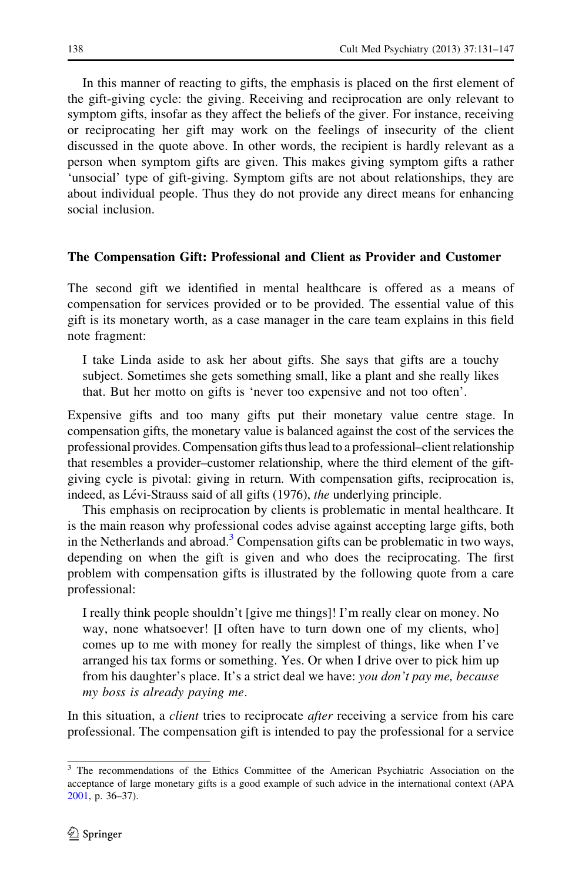In this manner of reacting to gifts, the emphasis is placed on the first element of the gift-giving cycle: the giving. Receiving and reciprocation are only relevant to symptom gifts, insofar as they affect the beliefs of the giver. For instance, receiving or reciprocating her gift may work on the feelings of insecurity of the client discussed in the quote above. In other words, the recipient is hardly relevant as a person when symptom gifts are given. This makes giving symptom gifts a rather 'unsocial' type of gift-giving. Symptom gifts are not about relationships, they are about individual people. Thus they do not provide any direct means for enhancing social inclusion.

## The Compensation Gift: Professional and Client as Provider and Customer

The second gift we identified in mental healthcare is offered as a means of compensation for services provided or to be provided. The essential value of this gift is its monetary worth, as a case manager in the care team explains in this field note fragment:

I take Linda aside to ask her about gifts. She says that gifts are a touchy subject. Sometimes she gets something small, like a plant and she really likes that. But her motto on gifts is 'never too expensive and not too often'.

Expensive gifts and too many gifts put their monetary value centre stage. In compensation gifts, the monetary value is balanced against the cost of the services the professional provides. Compensation gifts thus lead to a professional–client relationship that resembles a provider–customer relationship, where the third element of the giftgiving cycle is pivotal: giving in return. With compensation gifts, reciprocation is, indeed, as Lévi-Strauss said of all gifts (1976), the underlying principle.

This emphasis on reciprocation by clients is problematic in mental healthcare. It is the main reason why professional codes advise against accepting large gifts, both in the Netherlands and abroad.<sup>3</sup> Compensation gifts can be problematic in two ways, depending on when the gift is given and who does the reciprocating. The first problem with compensation gifts is illustrated by the following quote from a care professional:

I really think people shouldn't [give me things]! I'm really clear on money. No way, none whatsoever! [I often have to turn down one of my clients, who] comes up to me with money for really the simplest of things, like when I've arranged his tax forms or something. Yes. Or when I drive over to pick him up from his daughter's place. It's a strict deal we have: you don't pay me, because my boss is already paying me.

In this situation, a *client* tries to reciprocate *after* receiving a service from his care professional. The compensation gift is intended to pay the professional for a service

<sup>&</sup>lt;sup>3</sup> The recommendations of the Ethics Committee of the American Psychiatric Association on the acceptance of large monetary gifts is a good example of such advice in the international context (APA [2001,](#page-14-0) p. 36–37).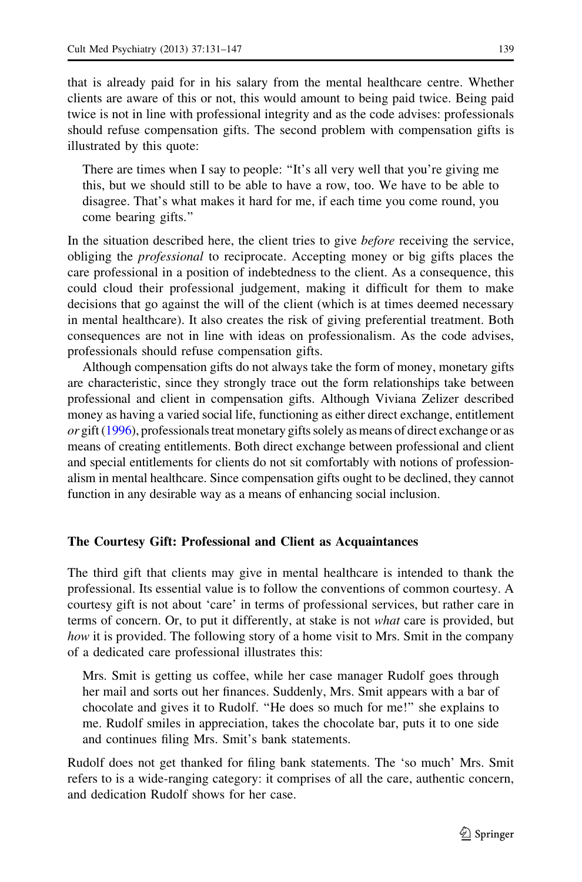that is already paid for in his salary from the mental healthcare centre. Whether clients are aware of this or not, this would amount to being paid twice. Being paid twice is not in line with professional integrity and as the code advises: professionals should refuse compensation gifts. The second problem with compensation gifts is illustrated by this quote:

There are times when I say to people: "It's all very well that you're giving me this, but we should still to be able to have a row, too. We have to be able to disagree. That's what makes it hard for me, if each time you come round, you come bearing gifts.''

In the situation described here, the client tries to give before receiving the service, obliging the professional to reciprocate. Accepting money or big gifts places the care professional in a position of indebtedness to the client. As a consequence, this could cloud their professional judgement, making it difficult for them to make decisions that go against the will of the client (which is at times deemed necessary in mental healthcare). It also creates the risk of giving preferential treatment. Both consequences are not in line with ideas on professionalism. As the code advises, professionals should refuse compensation gifts.

Although compensation gifts do not always take the form of money, monetary gifts are characteristic, since they strongly trace out the form relationships take between professional and client in compensation gifts. Although Viviana Zelizer described money as having a varied social life, functioning as either direct exchange, entitlement or gift ([1996](#page-16-0)), professionals treat monetary gifts solely as means of direct exchange or as means of creating entitlements. Both direct exchange between professional and client and special entitlements for clients do not sit comfortably with notions of professionalism in mental healthcare. Since compensation gifts ought to be declined, they cannot function in any desirable way as a means of enhancing social inclusion.

## The Courtesy Gift: Professional and Client as Acquaintances

The third gift that clients may give in mental healthcare is intended to thank the professional. Its essential value is to follow the conventions of common courtesy. A courtesy gift is not about 'care' in terms of professional services, but rather care in terms of concern. Or, to put it differently, at stake is not what care is provided, but how it is provided. The following story of a home visit to Mrs. Smit in the company of a dedicated care professional illustrates this:

Mrs. Smit is getting us coffee, while her case manager Rudolf goes through her mail and sorts out her finances. Suddenly, Mrs. Smit appears with a bar of chocolate and gives it to Rudolf. ''He does so much for me!'' she explains to me. Rudolf smiles in appreciation, takes the chocolate bar, puts it to one side and continues filing Mrs. Smit's bank statements.

Rudolf does not get thanked for filing bank statements. The 'so much' Mrs. Smit refers to is a wide-ranging category: it comprises of all the care, authentic concern, and dedication Rudolf shows for her case.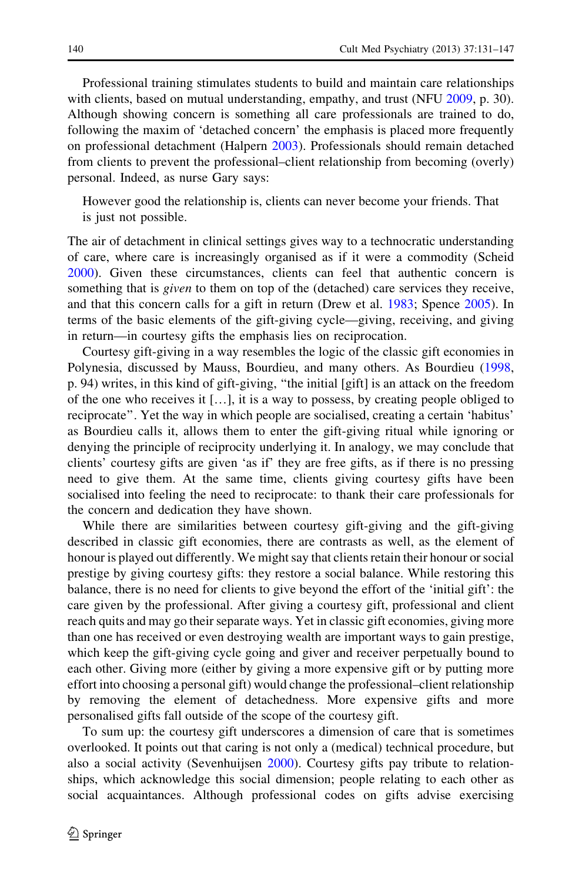Professional training stimulates students to build and maintain care relationships with clients, based on mutual understanding, empathy, and trust (NFU [2009](#page-15-0), p. 30). Although showing concern is something all care professionals are trained to do, following the maxim of 'detached concern' the emphasis is placed more frequently on professional detachment (Halpern [2003](#page-14-0)). Professionals should remain detached from clients to prevent the professional–client relationship from becoming (overly) personal. Indeed, as nurse Gary says:

However good the relationship is, clients can never become your friends. That is just not possible.

The air of detachment in clinical settings gives way to a technocratic understanding of care, where care is increasingly organised as if it were a commodity (Scheid [2000\)](#page-15-0). Given these circumstances, clients can feel that authentic concern is something that is *given* to them on top of the (detached) care services they receive, and that this concern calls for a gift in return (Drew et al. [1983;](#page-14-0) Spence [2005\)](#page-15-0). In terms of the basic elements of the gift-giving cycle—giving, receiving, and giving in return—in courtesy gifts the emphasis lies on reciprocation.

Courtesy gift-giving in a way resembles the logic of the classic gift economies in Polynesia, discussed by Mauss, Bourdieu, and many others. As Bourdieu ([1998,](#page-14-0) p. 94) writes, in this kind of gift-giving, ''the initial [gift] is an attack on the freedom of the one who receives it […], it is a way to possess, by creating people obliged to reciprocate''. Yet the way in which people are socialised, creating a certain 'habitus' as Bourdieu calls it, allows them to enter the gift-giving ritual while ignoring or denying the principle of reciprocity underlying it. In analogy, we may conclude that clients' courtesy gifts are given 'as if' they are free gifts, as if there is no pressing need to give them. At the same time, clients giving courtesy gifts have been socialised into feeling the need to reciprocate: to thank their care professionals for the concern and dedication they have shown.

While there are similarities between courtesy gift-giving and the gift-giving described in classic gift economies, there are contrasts as well, as the element of honour is played out differently. We might say that clients retain their honour or social prestige by giving courtesy gifts: they restore a social balance. While restoring this balance, there is no need for clients to give beyond the effort of the 'initial gift': the care given by the professional. After giving a courtesy gift, professional and client reach quits and may go their separate ways. Yet in classic gift economies, giving more than one has received or even destroying wealth are important ways to gain prestige, which keep the gift-giving cycle going and giver and receiver perpetually bound to each other. Giving more (either by giving a more expensive gift or by putting more effort into choosing a personal gift) would change the professional–client relationship by removing the element of detachedness. More expensive gifts and more personalised gifts fall outside of the scope of the courtesy gift.

To sum up: the courtesy gift underscores a dimension of care that is sometimes overlooked. It points out that caring is not only a (medical) technical procedure, but also a social activity (Sevenhuijsen [2000\)](#page-15-0). Courtesy gifts pay tribute to relationships, which acknowledge this social dimension; people relating to each other as social acquaintances. Although professional codes on gifts advise exercising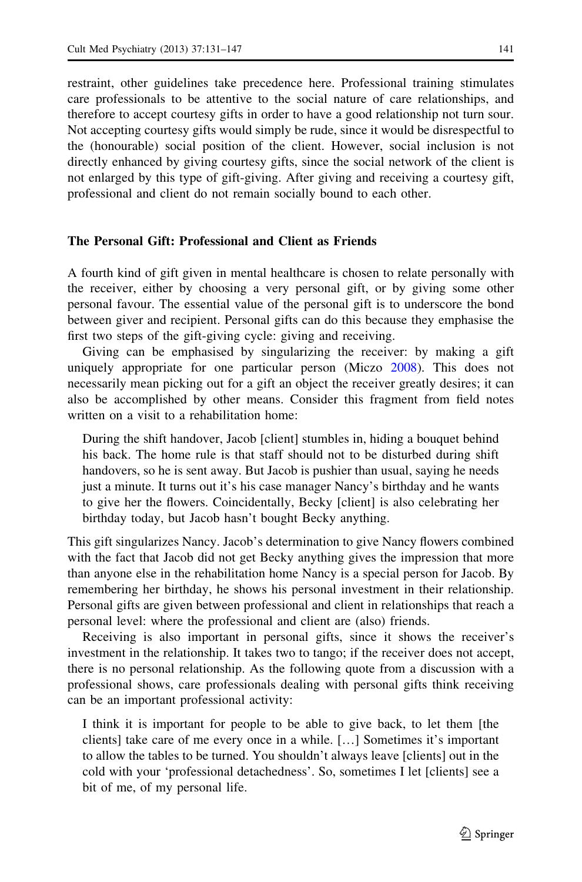restraint, other guidelines take precedence here. Professional training stimulates care professionals to be attentive to the social nature of care relationships, and therefore to accept courtesy gifts in order to have a good relationship not turn sour. Not accepting courtesy gifts would simply be rude, since it would be disrespectful to the (honourable) social position of the client. However, social inclusion is not directly enhanced by giving courtesy gifts, since the social network of the client is not enlarged by this type of gift-giving. After giving and receiving a courtesy gift, professional and client do not remain socially bound to each other.

## The Personal Gift: Professional and Client as Friends

A fourth kind of gift given in mental healthcare is chosen to relate personally with the receiver, either by choosing a very personal gift, or by giving some other personal favour. The essential value of the personal gift is to underscore the bond between giver and recipient. Personal gifts can do this because they emphasise the first two steps of the gift-giving cycle: giving and receiving.

Giving can be emphasised by singularizing the receiver: by making a gift uniquely appropriate for one particular person (Miczo [2008](#page-15-0)). This does not necessarily mean picking out for a gift an object the receiver greatly desires; it can also be accomplished by other means. Consider this fragment from field notes written on a visit to a rehabilitation home:

During the shift handover, Jacob [client] stumbles in, hiding a bouquet behind his back. The home rule is that staff should not to be disturbed during shift handovers, so he is sent away. But Jacob is pushier than usual, saying he needs just a minute. It turns out it's his case manager Nancy's birthday and he wants to give her the flowers. Coincidentally, Becky [client] is also celebrating her birthday today, but Jacob hasn't bought Becky anything.

This gift singularizes Nancy. Jacob's determination to give Nancy flowers combined with the fact that Jacob did not get Becky anything gives the impression that more than anyone else in the rehabilitation home Nancy is a special person for Jacob. By remembering her birthday, he shows his personal investment in their relationship. Personal gifts are given between professional and client in relationships that reach a personal level: where the professional and client are (also) friends.

Receiving is also important in personal gifts, since it shows the receiver's investment in the relationship. It takes two to tango; if the receiver does not accept, there is no personal relationship. As the following quote from a discussion with a professional shows, care professionals dealing with personal gifts think receiving can be an important professional activity:

I think it is important for people to be able to give back, to let them [the clients] take care of me every once in a while. […] Sometimes it's important to allow the tables to be turned. You shouldn't always leave [clients] out in the cold with your 'professional detachedness'. So, sometimes I let [clients] see a bit of me, of my personal life.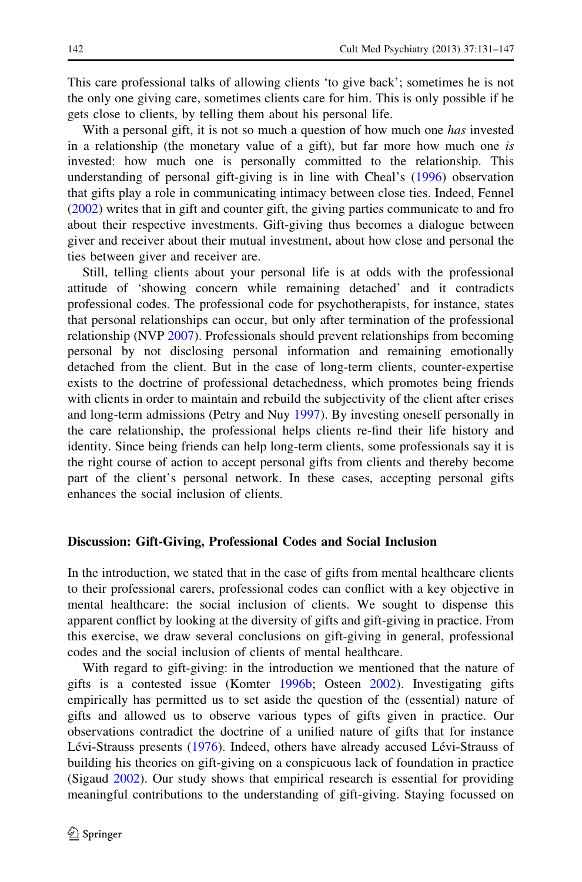This care professional talks of allowing clients 'to give back'; sometimes he is not the only one giving care, sometimes clients care for him. This is only possible if he gets close to clients, by telling them about his personal life.

With a personal gift, it is not so much a question of how much one has invested in a relationship (the monetary value of a gift), but far more how much one is invested: how much one is personally committed to the relationship. This understanding of personal gift-giving is in line with Cheal's ([1996\)](#page-14-0) observation that gifts play a role in communicating intimacy between close ties. Indeed, Fennel [\(2002](#page-14-0)) writes that in gift and counter gift, the giving parties communicate to and fro about their respective investments. Gift-giving thus becomes a dialogue between giver and receiver about their mutual investment, about how close and personal the ties between giver and receiver are.

Still, telling clients about your personal life is at odds with the professional attitude of 'showing concern while remaining detached' and it contradicts professional codes. The professional code for psychotherapists, for instance, states that personal relationships can occur, but only after termination of the professional relationship (NVP [2007\)](#page-15-0). Professionals should prevent relationships from becoming personal by not disclosing personal information and remaining emotionally detached from the client. But in the case of long-term clients, counter-expertise exists to the doctrine of professional detachedness, which promotes being friends with clients in order to maintain and rebuild the subjectivity of the client after crises and long-term admissions (Petry and Nuy [1997\)](#page-15-0). By investing oneself personally in the care relationship, the professional helps clients re-find their life history and identity. Since being friends can help long-term clients, some professionals say it is the right course of action to accept personal gifts from clients and thereby become part of the client's personal network. In these cases, accepting personal gifts enhances the social inclusion of clients.

#### Discussion: Gift-Giving, Professional Codes and Social Inclusion

In the introduction, we stated that in the case of gifts from mental healthcare clients to their professional carers, professional codes can conflict with a key objective in mental healthcare: the social inclusion of clients. We sought to dispense this apparent conflict by looking at the diversity of gifts and gift-giving in practice. From this exercise, we draw several conclusions on gift-giving in general, professional codes and the social inclusion of clients of mental healthcare.

With regard to gift-giving: in the introduction we mentioned that the nature of gifts is a contested issue (Komter [1996b;](#page-14-0) Osteen [2002](#page-15-0)). Investigating gifts empirically has permitted us to set aside the question of the (essential) nature of gifts and allowed us to observe various types of gifts given in practice. Our observations contradict the doctrine of a unified nature of gifts that for instance Lévi-Strauss presents  $(1976)$  $(1976)$ . Indeed, others have already accused Lévi-Strauss of building his theories on gift-giving on a conspicuous lack of foundation in practice (Sigaud [2002\)](#page-15-0). Our study shows that empirical research is essential for providing meaningful contributions to the understanding of gift-giving. Staying focussed on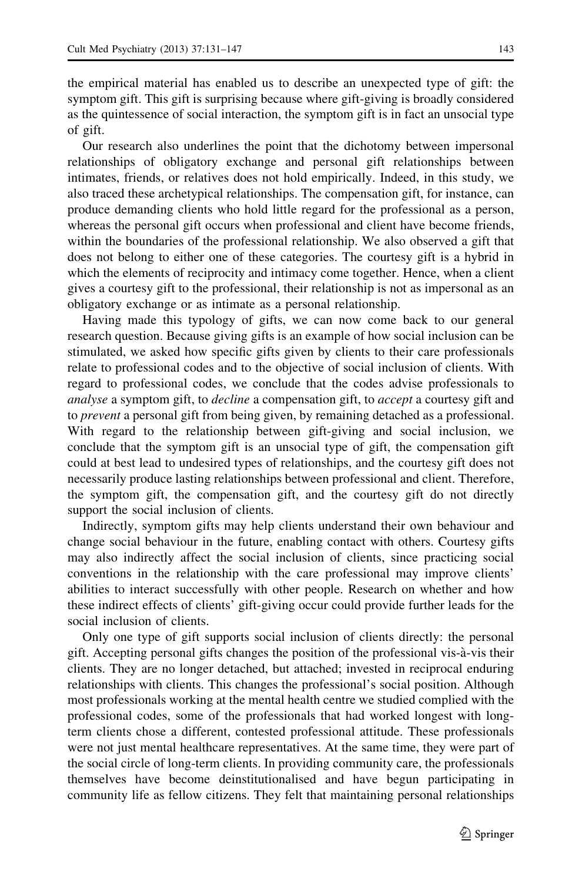the empirical material has enabled us to describe an unexpected type of gift: the symptom gift. This gift is surprising because where gift-giving is broadly considered as the quintessence of social interaction, the symptom gift is in fact an unsocial type of gift.

Our research also underlines the point that the dichotomy between impersonal relationships of obligatory exchange and personal gift relationships between intimates, friends, or relatives does not hold empirically. Indeed, in this study, we also traced these archetypical relationships. The compensation gift, for instance, can produce demanding clients who hold little regard for the professional as a person, whereas the personal gift occurs when professional and client have become friends, within the boundaries of the professional relationship. We also observed a gift that does not belong to either one of these categories. The courtesy gift is a hybrid in which the elements of reciprocity and intimacy come together. Hence, when a client gives a courtesy gift to the professional, their relationship is not as impersonal as an obligatory exchange or as intimate as a personal relationship.

Having made this typology of gifts, we can now come back to our general research question. Because giving gifts is an example of how social inclusion can be stimulated, we asked how specific gifts given by clients to their care professionals relate to professional codes and to the objective of social inclusion of clients. With regard to professional codes, we conclude that the codes advise professionals to analyse a symptom gift, to *decline* a compensation gift, to *accept* a courtesy gift and to *prevent* a personal gift from being given, by remaining detached as a professional. With regard to the relationship between gift-giving and social inclusion, we conclude that the symptom gift is an unsocial type of gift, the compensation gift could at best lead to undesired types of relationships, and the courtesy gift does not necessarily produce lasting relationships between professional and client. Therefore, the symptom gift, the compensation gift, and the courtesy gift do not directly support the social inclusion of clients.

Indirectly, symptom gifts may help clients understand their own behaviour and change social behaviour in the future, enabling contact with others. Courtesy gifts may also indirectly affect the social inclusion of clients, since practicing social conventions in the relationship with the care professional may improve clients' abilities to interact successfully with other people. Research on whether and how these indirect effects of clients' gift-giving occur could provide further leads for the social inclusion of clients.

Only one type of gift supports social inclusion of clients directly: the personal gift. Accepting personal gifts changes the position of the professional vis-a`-vis their clients. They are no longer detached, but attached; invested in reciprocal enduring relationships with clients. This changes the professional's social position. Although most professionals working at the mental health centre we studied complied with the professional codes, some of the professionals that had worked longest with longterm clients chose a different, contested professional attitude. These professionals were not just mental healthcare representatives. At the same time, they were part of the social circle of long-term clients. In providing community care, the professionals themselves have become deinstitutionalised and have begun participating in community life as fellow citizens. They felt that maintaining personal relationships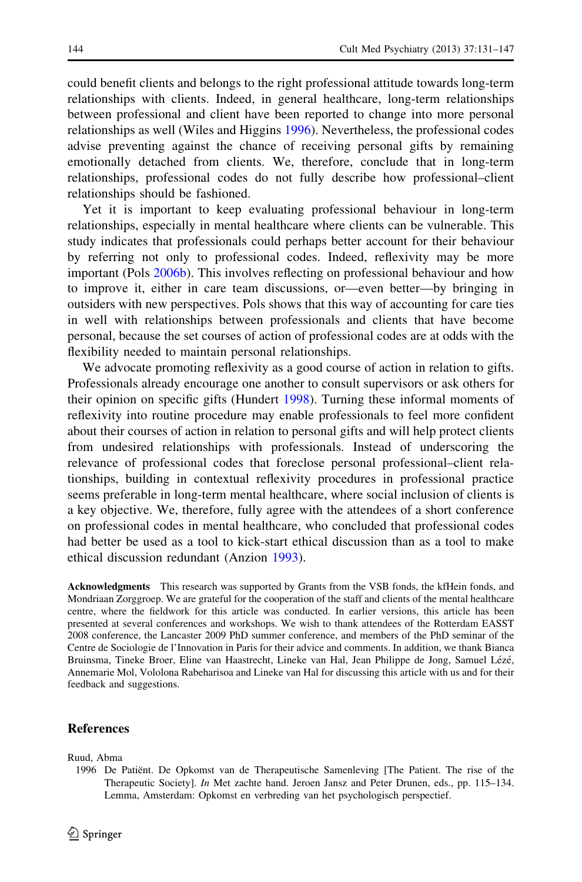<span id="page-13-0"></span>could benefit clients and belongs to the right professional attitude towards long-term relationships with clients. Indeed, in general healthcare, long-term relationships between professional and client have been reported to change into more personal relationships as well (Wiles and Higgins [1996\)](#page-16-0). Nevertheless, the professional codes advise preventing against the chance of receiving personal gifts by remaining emotionally detached from clients. We, therefore, conclude that in long-term relationships, professional codes do not fully describe how professional–client relationships should be fashioned.

Yet it is important to keep evaluating professional behaviour in long-term relationships, especially in mental healthcare where clients can be vulnerable. This study indicates that professionals could perhaps better account for their behaviour by referring not only to professional codes. Indeed, reflexivity may be more important (Pols [2006b\)](#page-15-0). This involves reflecting on professional behaviour and how to improve it, either in care team discussions, or—even better—by bringing in outsiders with new perspectives. Pols shows that this way of accounting for care ties in well with relationships between professionals and clients that have become personal, because the set courses of action of professional codes are at odds with the flexibility needed to maintain personal relationships.

We advocate promoting reflexivity as a good course of action in relation to gifts. Professionals already encourage one another to consult supervisors or ask others for their opinion on specific gifts (Hundert [1998\)](#page-14-0). Turning these informal moments of reflexivity into routine procedure may enable professionals to feel more confident about their courses of action in relation to personal gifts and will help protect clients from undesired relationships with professionals. Instead of underscoring the relevance of professional codes that foreclose personal professional–client relationships, building in contextual reflexivity procedures in professional practice seems preferable in long-term mental healthcare, where social inclusion of clients is a key objective. We, therefore, fully agree with the attendees of a short conference on professional codes in mental healthcare, who concluded that professional codes had better be used as a tool to kick-start ethical discussion than as a tool to make ethical discussion redundant (Anzion [1993](#page-14-0)).

Acknowledgments This research was supported by Grants from the VSB fonds, the kfHein fonds, and Mondriaan Zorggroep. We are grateful for the cooperation of the staff and clients of the mental healthcare centre, where the fieldwork for this article was conducted. In earlier versions, this article has been presented at several conferences and workshops. We wish to thank attendees of the Rotterdam EASST 2008 conference, the Lancaster 2009 PhD summer conference, and members of the PhD seminar of the Centre de Sociologie de l'Innovation in Paris for their advice and comments. In addition, we thank Bianca Bruinsma, Tineke Broer, Eline van Haastrecht, Lineke van Hal, Jean Philippe de Jong, Samuel Lézé, Annemarie Mol, Vololona Rabeharisoa and Lineke van Hal for discussing this article with us and for their feedback and suggestions.

### References

Ruud, Abma

1996 De Patiënt. De Opkomst van de Therapeutische Samenleving [The Patient. The rise of the Therapeutic Society]. In Met zachte hand. Jeroen Jansz and Peter Drunen, eds., pp. 115–134. Lemma, Amsterdam: Opkomst en verbreding van het psychologisch perspectief.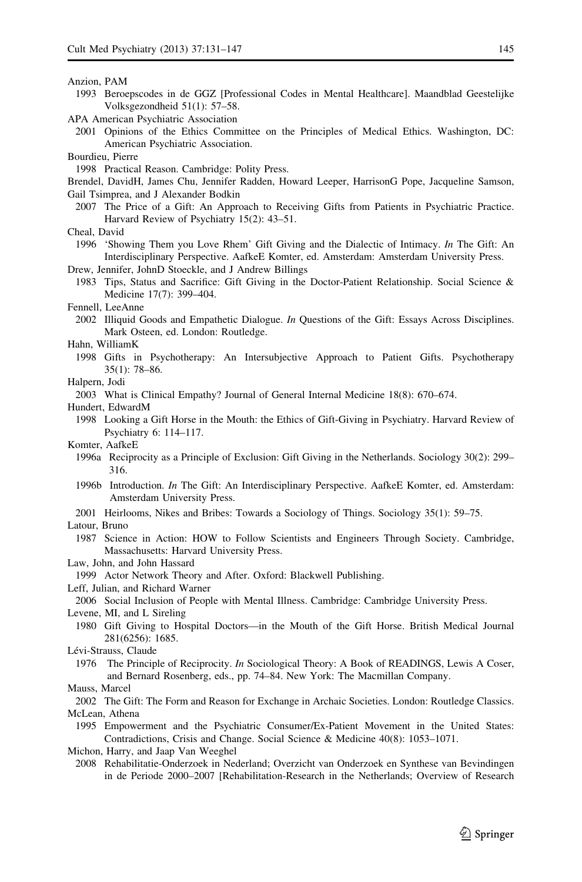<span id="page-14-0"></span>Anzion, PAM

- 1993 Beroepscodes in de GGZ [Professional Codes in Mental Healthcare]. Maandblad Geestelijke Volksgezondheid 51(1): 57–58.
- APA American Psychiatric Association
- 2001 Opinions of the Ethics Committee on the Principles of Medical Ethics. Washington, DC: American Psychiatric Association.

Bourdieu, Pierre

1998 Practical Reason. Cambridge: Polity Press.

Brendel, DavidH, James Chu, Jennifer Radden, Howard Leeper, HarrisonG Pope, Jacqueline Samson, Gail Tsimprea, and J Alexander Bodkin

2007 The Price of a Gift: An Approach to Receiving Gifts from Patients in Psychiatric Practice. Harvard Review of Psychiatry 15(2): 43–51.

Cheal, David

- 1996 'Showing Them you Love Rhem' Gift Giving and the Dialectic of Intimacy. In The Gift: An Interdisciplinary Perspective. AafkeE Komter, ed. Amsterdam: Amsterdam University Press.
- Drew, Jennifer, JohnD Stoeckle, and J Andrew Billings
- 1983 Tips, Status and Sacrifice: Gift Giving in the Doctor-Patient Relationship. Social Science & Medicine 17(7): 399–404.
- Fennell, LeeAnne
	- 2002 Illiquid Goods and Empathetic Dialogue. In Questions of the Gift: Essays Across Disciplines. Mark Osteen, ed. London: Routledge.
- Hahn, WilliamK
- 1998 Gifts in Psychotherapy: An Intersubjective Approach to Patient Gifts. Psychotherapy 35(1): 78–86.

Halpern, Jodi

2003 What is Clinical Empathy? Journal of General Internal Medicine 18(8): 670–674.

Hundert, EdwardM

1998 Looking a Gift Horse in the Mouth: the Ethics of Gift-Giving in Psychiatry. Harvard Review of Psychiatry 6: 114–117.

Komter, AafkeE

- 1996a Reciprocity as a Principle of Exclusion: Gift Giving in the Netherlands. Sociology 30(2): 299– 316.
- 1996b Introduction. In The Gift: An Interdisciplinary Perspective. AafkeE Komter, ed. Amsterdam: Amsterdam University Press.
- 2001 Heirlooms, Nikes and Bribes: Towards a Sociology of Things. Sociology 35(1): 59–75.

#### Latour, Bruno

1987 Science in Action: HOW to Follow Scientists and Engineers Through Society. Cambridge, Massachusetts: Harvard University Press.

Law, John, and John Hassard

1999 Actor Network Theory and After. Oxford: Blackwell Publishing.

Leff, Julian, and Richard Warner

2006 Social Inclusion of People with Mental Illness. Cambridge: Cambridge University Press.

Levene, MI, and L Sireling

1980 Gift Giving to Hospital Doctors—in the Mouth of the Gift Horse. British Medical Journal 281(6256): 1685.

Lévi-Strauss, Claude

1976 The Principle of Reciprocity. In Sociological Theory: A Book of READINGS, Lewis A Coser, and Bernard Rosenberg, eds., pp. 74–84. New York: The Macmillan Company.

#### Mauss, Marcel

2002 The Gift: The Form and Reason for Exchange in Archaic Societies. London: Routledge Classics. McLean, Athena

1995 Empowerment and the Psychiatric Consumer/Ex-Patient Movement in the United States: Contradictions, Crisis and Change. Social Science & Medicine 40(8): 1053–1071.

Michon, Harry, and Jaap Van Weeghel

2008 Rehabilitatie-Onderzoek in Nederland; Overzicht van Onderzoek en Synthese van Bevindingen in de Periode 2000–2007 [Rehabilitation-Research in the Netherlands; Overview of Research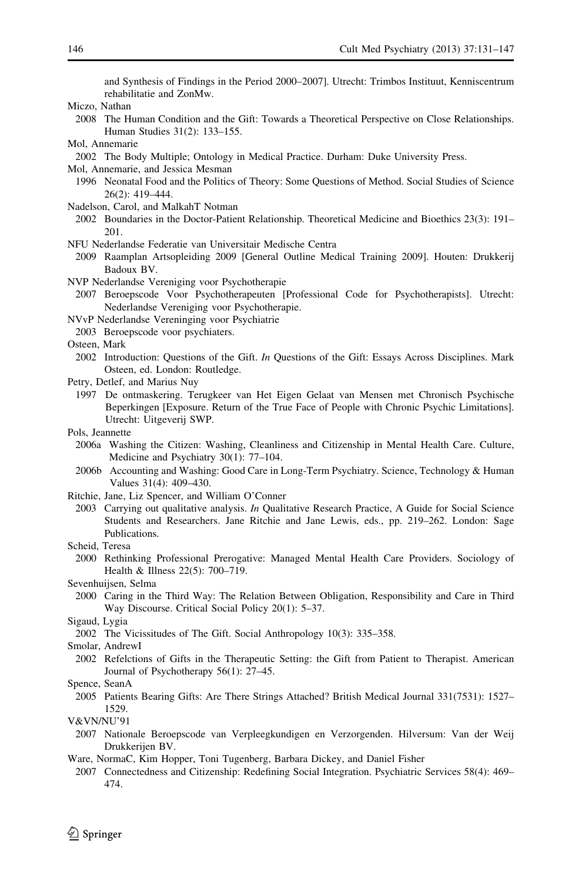and Synthesis of Findings in the Period 2000–2007]. Utrecht: Trimbos Instituut, Kenniscentrum rehabilitatie and ZonMw.

<span id="page-15-0"></span>Miczo, Nathan

- 2008 The Human Condition and the Gift: Towards a Theoretical Perspective on Close Relationships. Human Studies 31(2): 133–155.
- Mol, Annemarie
- 2002 The Body Multiple; Ontology in Medical Practice. Durham: Duke University Press.

Mol, Annemarie, and Jessica Mesman

- 1996 Neonatal Food and the Politics of Theory: Some Questions of Method. Social Studies of Science 26(2): 419–444.
- Nadelson, Carol, and MalkahT Notman
	- 2002 Boundaries in the Doctor-Patient Relationship. Theoretical Medicine and Bioethics 23(3): 191– 201.
- NFU Nederlandse Federatie van Universitair Medische Centra
	- 2009 Raamplan Artsopleiding 2009 [General Outline Medical Training 2009]. Houten: Drukkerij Badoux BV.
- NVP Nederlandse Vereniging voor Psychotherapie
	- 2007 Beroepscode Voor Psychotherapeuten [Professional Code for Psychotherapists]. Utrecht: Nederlandse Vereniging voor Psychotherapie.
- NVvP Nederlandse Vereninging voor Psychiatrie
- 2003 Beroepscode voor psychiaters.
- Osteen, Mark
	- 2002 Introduction: Questions of the Gift. In Questions of the Gift: Essays Across Disciplines. Mark Osteen, ed. London: Routledge.
- Petry, Detlef, and Marius Nuy
	- 1997 De ontmaskering. Terugkeer van Het Eigen Gelaat van Mensen met Chronisch Psychische Beperkingen [Exposure. Return of the True Face of People with Chronic Psychic Limitations]. Utrecht: Uitgeverij SWP.
- Pols, Jeannette
	- 2006a Washing the Citizen: Washing, Cleanliness and Citizenship in Mental Health Care. Culture, Medicine and Psychiatry 30(1): 77–104.
- 2006b Accounting and Washing: Good Care in Long-Term Psychiatry. Science, Technology & Human Values 31(4): 409–430.
- Ritchie, Jane, Liz Spencer, and William O'Conner
- 2003 Carrying out qualitative analysis. In Qualitative Research Practice, A Guide for Social Science Students and Researchers. Jane Ritchie and Jane Lewis, eds., pp. 219–262. London: Sage Publications.
- Scheid, Teresa
	- 2000 Rethinking Professional Prerogative: Managed Mental Health Care Providers. Sociology of Health & Illness 22(5): 700–719.
- Sevenhuijsen, Selma
	- 2000 Caring in the Third Way: The Relation Between Obligation, Responsibility and Care in Third Way Discourse. Critical Social Policy 20(1): 5–37.

Sigaud, Lygia

2002 The Vicissitudes of The Gift. Social Anthropology 10(3): 335–358.

Smolar, AndrewI

- 2002 Refelctions of Gifts in the Therapeutic Setting: the Gift from Patient to Therapist. American Journal of Psychotherapy 56(1): 27–45.
- Spence, SeanA
	- 2005 Patients Bearing Gifts: Are There Strings Attached? British Medical Journal 331(7531): 1527– 1529.
- V&VN/NU'91
- 2007 Nationale Beroepscode van Verpleegkundigen en Verzorgenden. Hilversum: Van der Weij Drukkerijen BV.
- Ware, NormaC, Kim Hopper, Toni Tugenberg, Barbara Dickey, and Daniel Fisher
- 2007 Connectedness and Citizenship: Redefining Social Integration. Psychiatric Services 58(4): 469– 474.